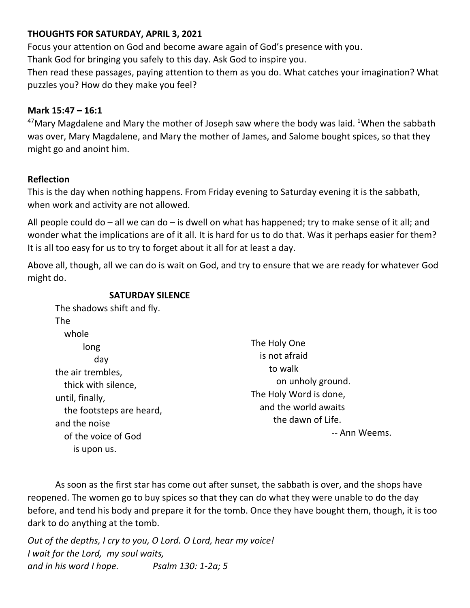# **THOUGHTS FOR SATURDAY, APRIL 3, 2021**

Focus your attention on God and become aware again of God's presence with you. Thank God for bringing you safely to this day. Ask God to inspire you.

Then read these passages, paying attention to them as you do. What catches your imagination? What puzzles you? How do they make you feel?

# **Mark 15:47 – 16:1**

<sup>47</sup>Mary Magdalene and Mary the mother of Joseph saw where the body was laid. <sup>1</sup>When the sabbath was over, Mary Magdalene, and Mary the mother of James, and Salome bought spices, so that they might go and anoint him.

## **Reflection**

This is the day when nothing happens. From Friday evening to Saturday evening it is the sabbath, when work and activity are not allowed.

All people could do – all we can do – is dwell on what has happened; try to make sense of it all; and wonder what the implications are of it all. It is hard for us to do that. Was it perhaps easier for them? It is all too easy for us to try to forget about it all for at least a day.

Above all, though, all we can do is wait on God, and try to ensure that we are ready for whatever God might do.

## **SATURDAY SILENCE**

The shadows shift and fly. The whole long day the air trembles, thick with silence, until, finally, the footsteps are heard, and the noise of the voice of God is upon us.

The Holy One is not afraid to walk on unholy ground. The Holy Word is done, and the world awaits the dawn of Life. -- Ann Weems.

As soon as the first star has come out after sunset, the sabbath is over, and the shops have reopened. The women go to buy spices so that they can do what they were unable to do the day before, and tend his body and prepare it for the tomb. Once they have bought them, though, it is too dark to do anything at the tomb.

*Out of the depths, I cry to you, O Lord. O Lord, hear my voice! I wait for the Lord, my soul waits, and in his word I hope. Psalm 130: 1-2a; 5*